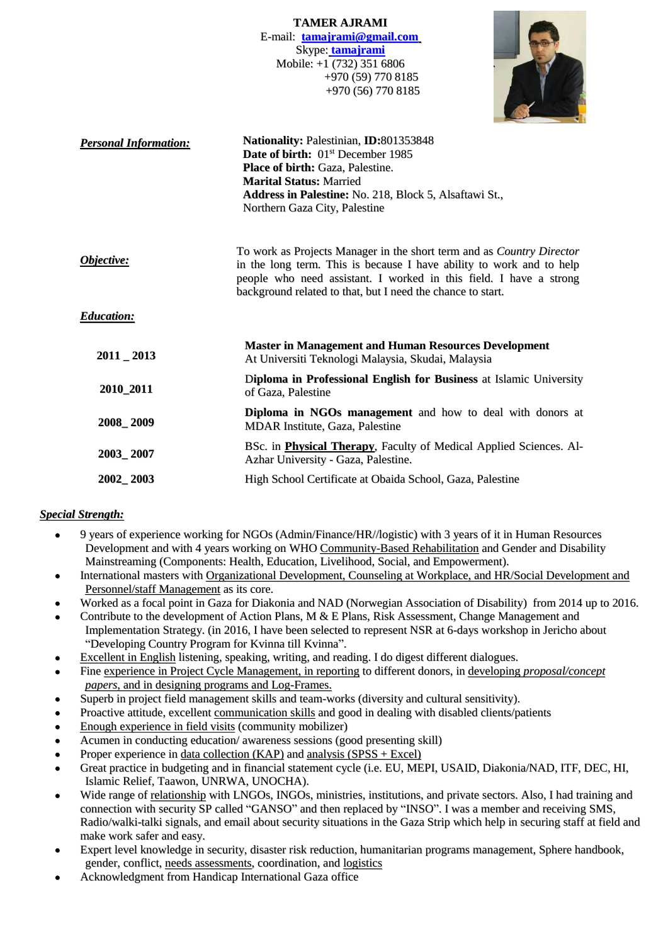**TAMER AJRAMI** E-mail: **[tamajrami@gmail.com](mailto:tamajrami@gmail.com)** Skype: **tamajrami** Mobile: +1 (732) 351 6806 +970 (59) 770 8185 +970 (56) 770 8185



| <b>Personal Information:</b> | Nationality: Palestinian, ID:801353848<br>Date of birth: 01 <sup>st</sup> December 1985<br><b>Place of birth: Gaza, Palestine.</b><br><b>Marital Status: Married</b><br>Address in Palestine: No. 218, Block 5, Alsaftawi St.,<br>Northern Gaza City, Palestine                    |  |  |
|------------------------------|------------------------------------------------------------------------------------------------------------------------------------------------------------------------------------------------------------------------------------------------------------------------------------|--|--|
| Objective:                   | To work as Projects Manager in the short term and as Country Director<br>in the long term. This is because I have ability to work and to help<br>people who need assistant. I worked in this field. I have a strong<br>background related to that, but I need the chance to start. |  |  |
| <b>Education:</b>            |                                                                                                                                                                                                                                                                                    |  |  |
| $2011 - 2013$                | <b>Master in Management and Human Resources Development</b><br>At Universiti Teknologi Malaysia, Skudai, Malaysia                                                                                                                                                                  |  |  |
| 2010_2011                    | Diploma in Professional English for Business at Islamic University<br>of Gaza, Palestine                                                                                                                                                                                           |  |  |
| 2008_2009                    | <b>Diploma in NGOs management</b> and how to deal with donors at<br><b>MDAR</b> Institute, Gaza, Palestine                                                                                                                                                                         |  |  |
| 2003_2007                    | BSc. in <b>Physical Therapy</b> , Faculty of Medical Applied Sciences. Al-<br>Azhar University - Gaza, Palestine.                                                                                                                                                                  |  |  |
| 2002_2003                    | High School Certificate at Obaida School, Gaza, Palestine                                                                                                                                                                                                                          |  |  |

### *Special Strength:*

- 9 years of experience working for NGOs (Admin/Finance/HR//logistic) with 3 years of it in Human Resources Development and with 4 years working on WHO Community-Based Rehabilitation and Gender and Disability Mainstreaming (Components: Health, Education, Livelihood, Social, and Empowerment).
- International masters with Organizational Development, Counseling at Workplace, and HR/Social Development and Personnel/staff Management as its core.
- Worked as a focal point in Gaza for Diakonia and NAD (Norwegian Association of Disability) from 2014 up to 2016.
- Contribute to the development of Action Plans, M & E Plans, Risk Assessment, Change Management and Implementation Strategy. (in 2016, I have been selected to represent NSR at 6-days workshop in Jericho about "Developing Country Program for Kvinna till Kvinna".
- Excellent in English listening, speaking, writing, and reading. I do digest different dialogues.
- Fine experience in Project Cycle Management, in reporting to different donors, in developing *proposal/concept papers*, and in designing programs and Log-Frames.
- Superb in project field management skills and team-works (diversity and cultural sensitivity).
- Proactive attitude, excellent communication skills and good in dealing with disabled clients/patients
- Enough experience in field visits (community mobilizer)
- Acumen in conducting education/ awareness sessions (good presenting skill)
- Proper experience in data collection  $(KAP)$  and analysis  $(SPSS + Excel)$
- Great practice in budgeting and in financial statement cycle (i.e. EU, MEPI, USAID, Diakonia/NAD, ITF, DEC, HI, Islamic Relief, Taawon, UNRWA, UNOCHA).
- Wide range of relationship with LNGOs, INGOs, ministries, institutions, and private sectors. Also, I had training and connection with security SP called "GANSO" and then replaced by "INSO". I was a member and receiving SMS, Radio/walki-talki signals, and email about security situations in the Gaza Strip which help in securing staff at field and make work safer and easy.
- Expert level knowledge in security, disaster risk reduction, humanitarian programs management, Sphere handbook, gender, conflict, needs assessments, coordination, and logistics
- Acknowledgment from Handicap International Gaza office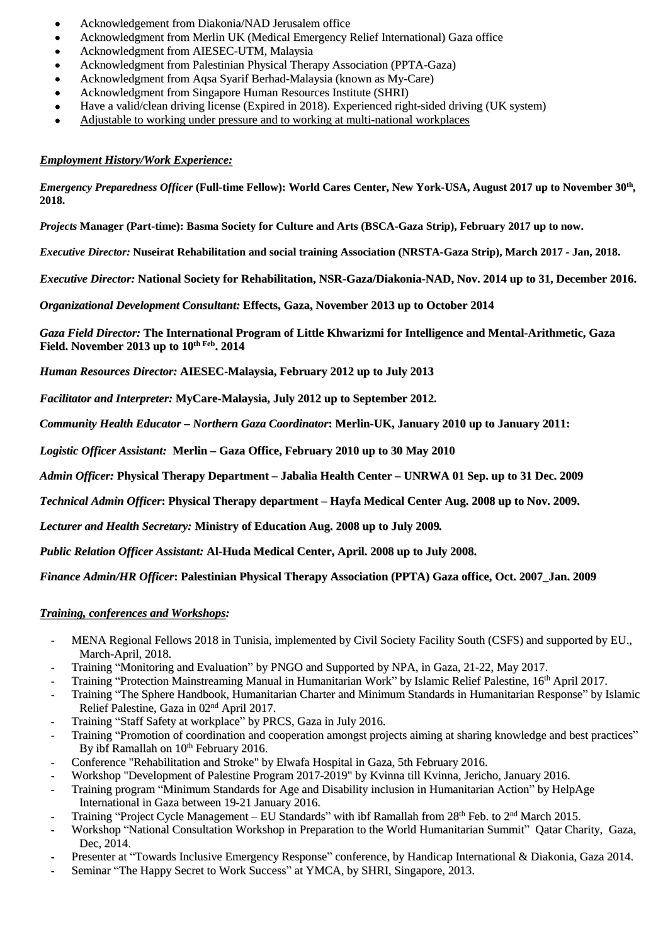- Acknowledgement from Diakonia/NAD Jerusalem office
- Acknowledgment from Merlin UK (Medical Emergency Relief International) Gaza office
- Acknowledgment from AIESEC-UTM, Malaysia
- Acknowledgment from Palestinian Physical Therapy Association (PPTA-Gaza)
- Acknowledgment from Aqsa Syarif Berhad-Malaysia (known as My-Care)
- Acknowledgment from Singapore Human Resources Institute (SHRI)
- Have a valid/clean driving license (Expired in 2018). Experienced right-sided driving (UK system)
- Adjustable to working under pressure and to working at multi-national workplaces

### *Employment History/Work Experience:*

*Emergency Preparedness Officer* (Full-time Fellow): World Cares Center, New York-USA, August 2017 up to November 30<sup>th</sup>, **2018.**

*Projects* **Manager (Part-time): Basma Society for Culture and Arts (BSCA-Gaza Strip), February 2017 up to now.**

*Executive Director:* **Nuseirat Rehabilitation and social training Association (NRSTA-Gaza Strip), March 2017 - Jan, 2018.**

*Executive Director:* **National Society for Rehabilitation, NSR-Gaza/Diakonia-NAD, Nov. 2014 up to 31, December 2016.**

*Organizational Development Consultant:* **Effects, Gaza, November 2013 up to October 2014**

*Gaza Field Director:* **The International Program of Little Khwarizmi for Intelligence and Mental-Arithmetic, Gaza Field. November 2013 up to 10 th Feb . 2014**

*Human Resources Director:* **AIESEC-Malaysia, February 2012 up to July 2013**

*Facilitator and Interpreter:* **MyCare-Malaysia, July 2012 up to September 2012.**

*Community Health Educator – Northern Gaza Coordinator***: Merlin-UK, January 2010 up to January 2011:**

*Logistic Officer Assistant:* **Merlin – Gaza Office, February 2010 up to 30 May 2010**

Admin Officer: Physical Therapy Department – Jabalia Health Center – UNRWA 01 Sep. up to 31 Dec. 2009

*Technical Admin Officer***: Physical Therapy department – Hayfa Medical Center Aug. 2008 up to Nov. 2009.**

*Lecturer and Health Secretary:* **Ministry of Education Aug. 2008 up to July 2009***.*

*Public Relation Officer Assistant:* **Al-Huda Medical Center, April. 2008 up to July 2008.**

*Finance Admin/HR Officer***: Palestinian Physical Therapy Association (PPTA) Gaza office, Oct. 2007\_Jan. 2009**

### *Training, conferences and Workshops:*

- **-** MENA Regional Fellows 2018 in Tunisia, implemented by Civil Society Facility South (CSFS) and supported by EU., March-April, 2018.
- **-** Training "Monitoring and Evaluation" by PNGO and Supported by NPA, in Gaza, 21-22, May 2017.
- Training "Protection Mainstreaming Manual in Humanitarian Work" by Islamic Relief Palestine, 16<sup>th</sup> April 2017.
- **-** Training "The Sphere Handbook, Humanitarian Charter and Minimum Standards in Humanitarian Response" by Islamic Relief Palestine, Gaza in 02<sup>nd</sup> April 2017.
- **-** Training "Staff Safety at workplace" by PRCS, Gaza in July 2016.
- **-** Training "Promotion of coordination and cooperation amongst projects aiming at sharing knowledge and best practices" By ibf Ramallah on 10<sup>th</sup> February 2016.
- **-** Conference "Rehabilitation and Stroke" by Elwafa Hospital in Gaza, 5th February 2016.
- **-** Workshop "Development of Palestine Program 2017-2019" by Kvinna till Kvinna, Jericho, January 2016.
- **-** Training program "Minimum Standards for Age and Disability inclusion in Humanitarian Action" by HelpAge International in Gaza between 19-21 January 2016.
- Training "Project Cycle Management EU Standards" with ibf Ramallah from 28<sup>th</sup> Feb. to 2<sup>nd</sup> March 2015.
- **-** Workshop "National Consultation Workshop in Preparation to the World Humanitarian Summit" Qatar Charity, Gaza, Dec, 2014.
- **-** Presenter at "Towards Inclusive Emergency Response" conference, by Handicap International & Diakonia, Gaza 2014.
- **-** Seminar "The Happy Secret to Work Success" at YMCA, by SHRI, Singapore, 2013.